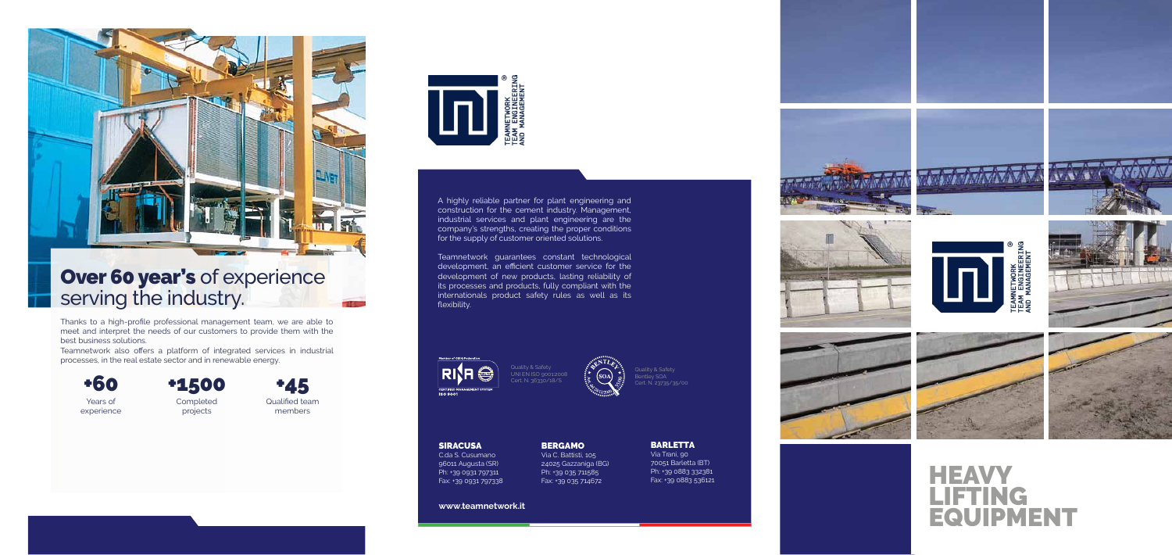

## Over 60 year's of experience serving the industry.

**www. teamnetwork.it**





#### SIRACUSA

**BARLETTA**<br>Via Trani, 90 Via Trani, 90<br>70051 Barletta (BT) Ph: +39 0883 332381 Fax: +39 0883 536121















C.da S. Cusumano 96011 Augusta (SR) Ph: +39 0931 797311 Fax: +39 0931 797338

**BERGAMO** Via C. Battisti, 105 24025 Gazzaniga (BG) Ph: +39 035 711585<br>Fax: +39 035 714672

Teamnetwork guarantees constant technological development, an efficient customer service for the development of new products, lasting reliability of its processes and products, fully compliant with the internationals product safety rules as well as its flexibility.

**RISH CERTIFIED N**<br>ISO 9001

A highly reliable partner for plant engineering and construction for the cement industry. Management, industrial services and plant engineering are the company's strengths, creating the proper conditions for the supply of customer oriented solutions.

# **HEAVY** LIFTING EQUIPMENT

Quality & Safety UNI EN ISO 9001:2008 Cert. N. 36330/18/S

Bentley SOA Cert. N. 23735/35/00



Thanks to a high-profile professional management team, we are able to meet and interpret the needs of our customers to provide them with the best business solutions.

Teamnetwork also offers a platform of integrated services in industrial processes, in the real estate sector and in renewable energy.



Years of experience